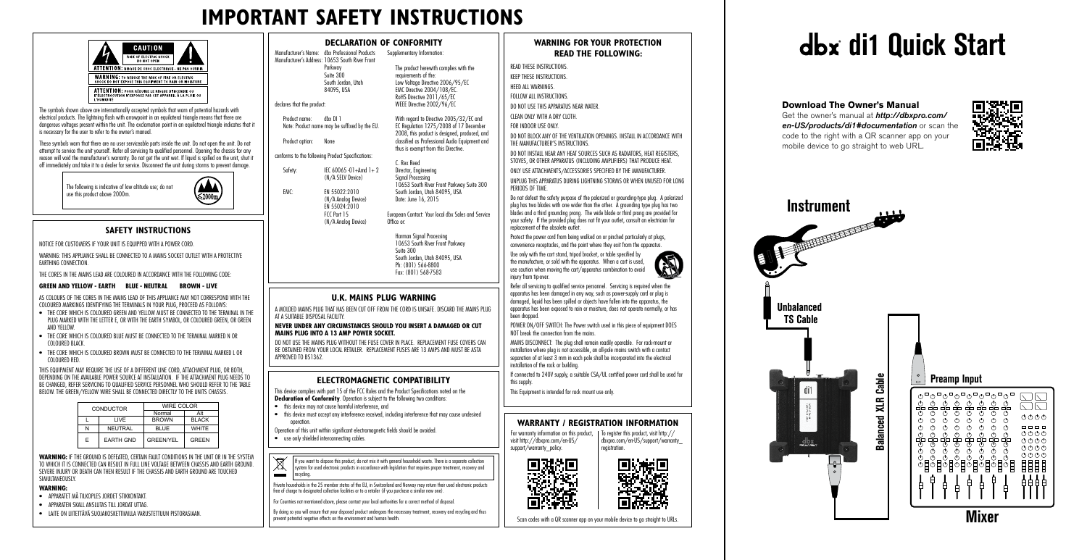# **IMPORTANT SAFETY INSTRUCTIONS**



## **WARNING FOR YOUR PROTECTION READ THE FOLLOWING:**

READ THESE INSTRUCTIONS. KEEP THESE INSTRUCTIONS.

HEED ALL WARNINGS

FOLLOW ALL INSTRUCTIONS.

DO NOT USE THIS APPARATUS NEAR WATER.

CLEAN ONLY WITH A DRY CLOTH. FOR INDOOR USE ONLY.

DO NOT BLOCK ANY OF THE VENTILATION OPENINGS. INSTALL IN ACCORDANCE WITH THE MANUFACTURER'S INSTRUCTIONS.

DO NOT INSTALL NEAR ANY HEAT SOURCES SUCH AS RADIATORS, HEAT REGISTERS, STOVES, OR OTHER APPARATUS (INCLUDING AMPLIFIERS) THAT PRODUCE HEAT.

ONLY USE ATTACHMENTS/ACCESSORIES SPECIFIED BY THE MANUFACTURER.

Use only with the cart stand, tripod bracket, or table specified by the manufacture, or sold with the apparatus. When a cart is used, use caution when moving the cart/apparatus combination to avoid injury from tip-over.

UNPLUG THIS APPARATUS DURING LIGHTNING STORMS OR WHEN UNUSED FOR LONG PERIODS OF TIME.

Do not defeat the safety purpose of the polarized or grounding-type plug. A polarized plug has two blades with one wider than the other. A grounding type plug has two blades and a third grounding prong. The wide blade or third prong are provided for your safety. If the provided plug does not fit your outlet, consult an electrician for replacement of the obsolete outlet.

Protect the power cord from being walked on or pinched particularly at plugs, convenience receptacles, and the point where they exit from the apparatus.

This device complies with part 15 of the FCC Rules and the Product Specifications noted on the **Declaration of Conformity**. Operation is subject to the following two conditions:



POWER ON/OFF SWITCH: The Power switch used in this piece of equipment DOES NOT break the connection from the mains.

MAINS DISCONNECT: The plug shall remain readily operable. For rack-mount or installation where plug is not accessible, an all-pole mains switch with a contact separation of at least 3 mm in each pole shall be incorporated into the electrical installation of the rack or building.

If connected to 240V supply, a suitable CSA/UL certified power cord shall be used for this supply.

This Equipment is intended for rack mount use only.

#### **U.K. MAINS PLUG WARNING**

A MOLDED MAINS PLUG THAT HAS BEEN CUT OFF FROM THE CORD IS UNSAFE. DISCARD THE MAINS PLUG AT A SUITABLE DISPOSAL FACILITY.

#### **NEVER UNDER ANY CIRCUMSTANCES SHOULD YOU INSERT A DAMAGED OR CUT MAINS PLUG INTO A 13 AMP POWER SOCKET.**

DO NOT USE THE MAINS PLUG WITHOUT THE FUSE COVER IN PLACE. REPLACEMENT FUSE COVERS CAN BE OBTAINED FROM YOUR LOCAL RETAILER. REPLACEMENT FUSES ARE 13 AMPS AND MUST BE ASTA APPROVED TO BS1362.

### **ELECTROMAGNETIC COMPATIBILITY**

### **DECLARATION OF CONFORMITY**

AS COLOURS OF THE CORES IN THE MAINS LEAD OF THIS APPLIANCE MAY NOT CORRESPOND WITH THE COLOURED MARKINGS IDENTIFYING THE TERMINALS IN YOUR PLUG, PROCEED AS FOLLOWS:

- this device may not cause harmful interference, and
- this device must accept any interference received, including interference that may cause undesired operation.
- Operation of this unit within significant electromagnetic fields should be avoided.
- use only shielded interconnecting cables.
- $\cancel{\mathbb{R}}$ If you want to dispose this product, do not mix it with general household waste. There is a separate collection system for used electronic products in accordance with legislation that requires proper treatment, recovery and  $\equiv$ recycling.

Manufacturer's Name: dbx Professional Products Manufacturer's Address: 10653 South River Front Parkway Suite 300 South Jordan, Utah 84095, USA declares that the product: Product name: dbx DI 1 Note: Product name may be suffixed by the EU. Product option: None conforms to the following Product Specifications: Safety: IEC 60065 -01+Amd 1+ 2 (N/A SELV Device) EMC: EN 55022:2010 (N/A Analog Device) EN 55024:2010 FCC Part 15 (N/A Analog Device) Supplementary Information: The product herewith complies with the requirements of the: Low Voltage Directive 2006/95/EC EMC Directive 2004/108/EC. RoHS Directive 2011/65/EC WEEE Directive 2002/96/EC With regard to Directive 2005/32/EC and EC Regulation 1275/2008 of 17 December 2008, this product is designed, produced, and classified as Professional Audio Equipment and thus is exempt from this Directive. C. Rex Reed Director, Engineering Signal Processing 10653 South River Front Parkway Suite 300 South Jordan, Utah 84095, USA Date: June 16, 2015 European Contact: Your local dbx Sales and Service Office or: Harman Signal Processing 10653 South River Front Parkway Suite 300 South Jordan, Utah 84095, USA

> For warranty information on this product, | To register this product, [visit http://](http://dbxpro.com/en-US/support/warranty_registration) visit [http://dbxpro.com/en-US/](http://dbxpro.com/en-US/support/warranty_policy) [support/warranty\\_policy](http://dbxpro.com/en-US/support/warranty_policy). [registration.](http://dbxpro.com/en-US/support/warranty_registration)

Ph: (801) 566-8800 Fax: (801) 568-7583

Private households in the 25 member states of the EU, in Switzerland and Norway may return their used electronic products free of charge to designated collection facilities or to a retailer (if you purchase a similar new one).

For Countries not mentioned above, please contact your local authorities for a correct method of disposal.

By doing so you will ensure that your disposed product undergoes the necessary treatment, recovery and recycling and thus prevent potential negative effects on the environment and human health.

The symbols shown above are internationally accepted symbols that warn of potential hazards with electrical products. The lightning flash with arrowpoint in an equilateral triangle means that there are dangerous voltages present within the unit. The exclamation point in an equilateral triangle indicates that it is necessary for the user to refer to the owner's manual.

These symbols warn that there are no user serviceable parts inside the unit. Do not open the unit. Do not attempt to service the unit yourself. Refer all servicing to qualified personnel. Opening the chassis for any reason will void the manufacturer's warranty. Do not get the unit wet. If liquid is spilled on the unit, shut it off immediately and take it to a dealer for service. Disconnect the unit during storms to prevent damage.

> The following is indicative of low altitude use; do not use this product above 2000m.



## **SAFETY INSTRUCTIONS**

NOTICE FOR CUSTOMERS IF YOUR UNIT IS EQUIPPED WITH A POWER CORD.

WARNING: THIS APPLIANCE SHALL BE CONNECTED TO A MAINS SOCKET OUTLET WITH A PROTECTIVE EARTHING CONNECTION.

THE CORES IN THE MAINS LEAD ARE COLOURED IN ACCORDANCE WITH THE FOLLOWING CODE:

#### **GREEN AND YELLOW - EARTH BLUE - NEUTRAL BROWN - LIVE**

- THE CORE WHICH IS COLOURED GREEN AND YELLOW MUST BE CONNECTED TO THE TERMINAL IN THE PLUG MARKED WITH THE LETTER E, OR WITH THE EARTH SYMBOL, OR COLOURED GREEN, OR GREEN AND YELLOW.
- THE CORE WHICH IS COLOURED BLUE MUST BE CONNECTED TO THE TERMINAL MARKED N OR COLOURED BLACK.
- THE CORE WHICH IS COLOURED BROWN MUST BE CONNECTED TO THE TERMINAL MARKED L OR COLOURED RED.

THIS EQUIPMENT MAY REQUIRE THE USE OF A DIFFERENT LINE CORD, ATTACHMENT PLUG, OR BOTH, DEPENDING ON THE AVAILABLE POWER SOURCE AT INSTALLATION. IF THE ATTACHMENT PLUG NEEDS TO BE CHANGED, REFER SERVICING TO QUALIFIED SERVICE PERSONNEL WHO SHOULD REFER TO THE TABLE BELOW. THE GREEN/YELLOW WIRE SHALL BE CONNECTED DIRECTLY TO THE UNITS CHASSIS.

| <b>CONDUCTOR</b> |                  | WIRE COLOR       |              |
|------------------|------------------|------------------|--------------|
|                  |                  | Normal           | Alt          |
|                  | LIVE             | <b>BROWN</b>     | <b>BLACK</b> |
|                  | <b>NEUTRAL</b>   | <b>BLUE</b>      | <b>WHITE</b> |
| F                | <b>EARTH GND</b> | <b>GREEN/YEL</b> | <b>GREEN</b> |

**WARNING:** IF THE GROUND IS DEFEATED, CERTAIN FAULT CONDITIONS IN THE UNIT OR IN THE SYSTEM TO WHICH IT IS CONNECTED CAN RESULT IN FULL LINE VOLTAGE BETWEEN CHASSIS AND EARTH GROUND. SEVERE INJURY OR DEATH CAN THEN RESULT IF THE CHASSIS AND EARTH GROUND ARE TOUCHED SIMULTANEOUSLY.

#### **WARNING:**

- APPARATET MÅ TILKOPLES JORDET STIKKONTAKT.
- APPARATEN SKALL ANSLUTAS TILL JORDAT UTTAG.
- LAITE ON LIITETTÄVÄ SUOJAKOSKETTIMILLA VARUSTETTUUN PISTORASIAAN.

# **WARRANTY / REGISTRATION INFORMATION**

[dbxpro.com/en-US/support/warranty\\_](http://dbxpro.com/en-US/support/warranty_registration)

科



Scan codes with a QR scanner app on your mobile device to go straight to URLs.



# **Download The Owner's Manual**

Get the owner's manual at *[http://dbxpro.com/](http://dbxpro.com/en-US/products/di1#documentation) [en-US/products/di1#documentation](http://dbxpro.com/en-US/products/di1#documentation)* or scan the code to the right with a QR scanner app on your mobile device to go straight to web URL.



# **di1 Quick Start**



**Mixer**